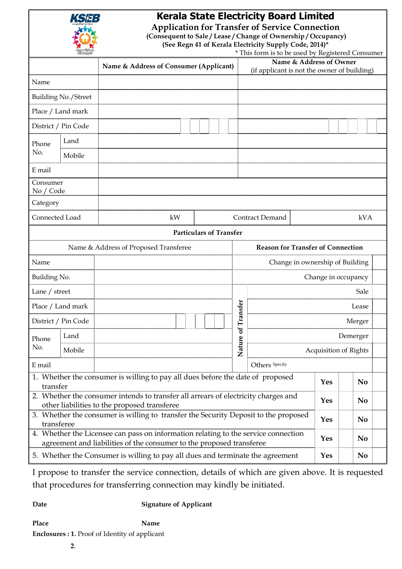|                                                                                                                                    |                                                                                                                                                        | <b>Kerala State Electricity Board Limited</b><br><b>Application for Transfer of Service Connection</b><br>(Consequent to Sale/Lease/Change of Ownership/Occupancy)<br>(See Regn 41 of Kerala Electricity Supply Code, 2014)* |                |                                             |                       |                |  |
|------------------------------------------------------------------------------------------------------------------------------------|--------------------------------------------------------------------------------------------------------------------------------------------------------|------------------------------------------------------------------------------------------------------------------------------------------------------------------------------------------------------------------------------|----------------|---------------------------------------------|-----------------------|----------------|--|
| * This form is to be used by Registered Consumer<br>Name & Address of Owner                                                        |                                                                                                                                                        |                                                                                                                                                                                                                              |                |                                             |                       |                |  |
|                                                                                                                                    |                                                                                                                                                        | Name & Address of Consumer (Applicant)                                                                                                                                                                                       |                | (if applicant is not the owner of building) |                       |                |  |
| Name                                                                                                                               |                                                                                                                                                        |                                                                                                                                                                                                                              |                |                                             |                       |                |  |
| <b>Building No./Street</b>                                                                                                         |                                                                                                                                                        |                                                                                                                                                                                                                              |                |                                             |                       |                |  |
| Place / Land mark                                                                                                                  |                                                                                                                                                        |                                                                                                                                                                                                                              |                |                                             |                       |                |  |
| District / Pin Code                                                                                                                |                                                                                                                                                        |                                                                                                                                                                                                                              |                |                                             |                       |                |  |
| Phone<br>No.                                                                                                                       | Land                                                                                                                                                   |                                                                                                                                                                                                                              |                |                                             |                       |                |  |
|                                                                                                                                    | Mobile                                                                                                                                                 |                                                                                                                                                                                                                              |                |                                             |                       |                |  |
| E mail                                                                                                                             |                                                                                                                                                        |                                                                                                                                                                                                                              |                |                                             |                       |                |  |
| Consumer<br>No / Code                                                                                                              |                                                                                                                                                        |                                                                                                                                                                                                                              |                |                                             |                       |                |  |
| Category                                                                                                                           |                                                                                                                                                        |                                                                                                                                                                                                                              |                |                                             |                       |                |  |
| Connected Load                                                                                                                     |                                                                                                                                                        | kW                                                                                                                                                                                                                           |                | Contract Demand<br>kVA                      |                       |                |  |
| <b>Particulars of Transfer</b>                                                                                                     |                                                                                                                                                        |                                                                                                                                                                                                                              |                |                                             |                       |                |  |
| Name & Address of Proposed Transferee                                                                                              |                                                                                                                                                        |                                                                                                                                                                                                                              |                | <b>Reason for Transfer of Connection</b>    |                       |                |  |
| Name                                                                                                                               |                                                                                                                                                        |                                                                                                                                                                                                                              |                | Change in ownership of Building             |                       |                |  |
| Building No.                                                                                                                       |                                                                                                                                                        |                                                                                                                                                                                                                              |                | Change in occupancy                         |                       |                |  |
| Lane / street                                                                                                                      |                                                                                                                                                        |                                                                                                                                                                                                                              |                |                                             |                       | Sale           |  |
| Place / Land mark                                                                                                                  |                                                                                                                                                        |                                                                                                                                                                                                                              | sfer           |                                             | Lease                 |                |  |
| District / Pin Code                                                                                                                |                                                                                                                                                        |                                                                                                                                                                                                                              |                | Merger                                      |                       |                |  |
| Phone<br>No.                                                                                                                       | Land                                                                                                                                                   |                                                                                                                                                                                                                              | Nature of Tran |                                             | Demerger              |                |  |
|                                                                                                                                    | Mobile                                                                                                                                                 |                                                                                                                                                                                                                              |                |                                             | Acquisition of Rights |                |  |
| Others Specify<br>E mail                                                                                                           |                                                                                                                                                        |                                                                                                                                                                                                                              |                |                                             |                       |                |  |
| 1. Whether the consumer is willing to pay all dues before the date of proposed<br>transfer                                         |                                                                                                                                                        |                                                                                                                                                                                                                              |                |                                             | <b>Yes</b>            | N <sub>0</sub> |  |
| 2. Whether the consumer intends to transfer all arrears of electricity charges and<br>other liabilities to the proposed transferee |                                                                                                                                                        |                                                                                                                                                                                                                              |                |                                             | <b>Yes</b>            | N <sub>0</sub> |  |
| 3. Whether the consumer is willing to transfer the Security Deposit to the proposed<br>transferee                                  |                                                                                                                                                        |                                                                                                                                                                                                                              |                |                                             | <b>Yes</b>            | <b>No</b>      |  |
| 4. Whether the Licensee can pass on information relating to the service connection                                                 |                                                                                                                                                        |                                                                                                                                                                                                                              |                |                                             | <b>Yes</b>            | N <sub>0</sub> |  |
|                                                                                                                                    | agreement and liabilities of the consumer to the proposed transferee<br>5. Whether the Consumer is willing to pay all dues and terminate the agreement |                                                                                                                                                                                                                              |                |                                             |                       | <b>No</b>      |  |

I propose to transfer the service connection, details of which are given above. It is requested that procedures for transferring connection may kindly be initiated.

**Date Signature of Applicant** 

Place **Name Name Enclosures : 1.** Proof of Identity of applicant